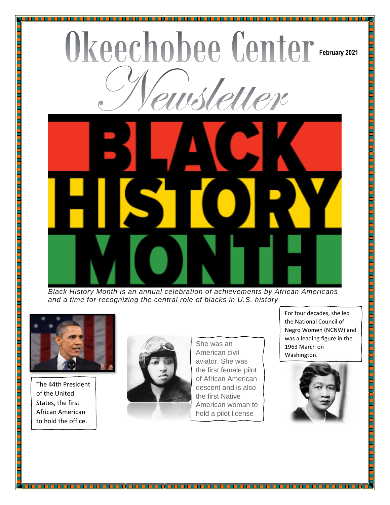## Okeechobee Center February 2021 wsletter



*Black History Month is an annual celebration of achievements by African Americans and a time for recognizing the central role of blacks in U.S. history*



The 44th President of the United States, the first African American to hold the office.



She was an American civil aviator. She was the first female pilot of African American descent and is also the first Native American woman to hold a pilot license

For four decades, she led the National Council of Negro Women (NCNW) and was a leading figure in the 1963 March on Washington.

<u> BERTHER HARDER</u>

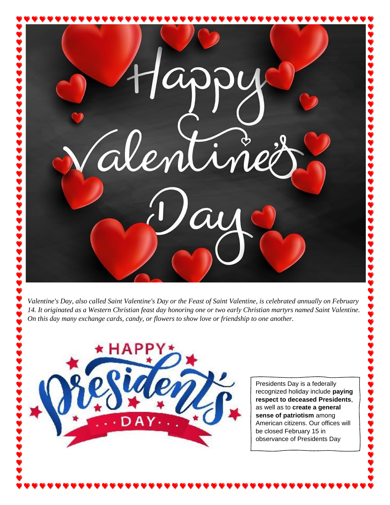$\cdot$ al

*Valentine's Day, also called Saint Valentine's Day or the Feast of Saint Valentine, is celebrated annually on February 14. It originated as a Western Christian feast day honoring one or two early Christian martyrs named Saint Valentine. On this day many exchange cards, candy, or flowers to show love or friendship to one another.* 



Presidents Day is a federally recognized holiday include **paying respect to deceased Presidents**, as well as to **create a general sense of patriotism** among American citizens. Our offices will be closed February 15 in observance of Presidents Day

**888888888**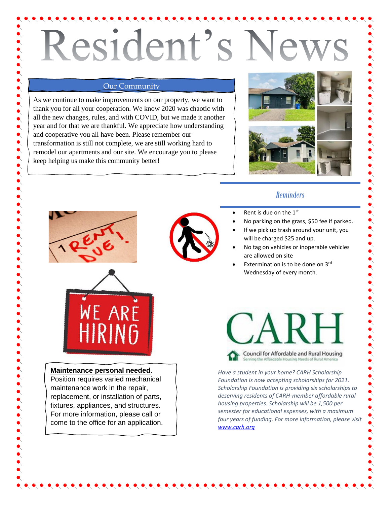# Resident's Ne

### Our Community

As we continue to make improvements on our property, we want to thank you for all your cooperation. We know 2020 was chaotic with all the new changes, rules, and with COVID, but we made it another year and for that we are thankful. We appreciate how understanding and cooperative you all have been. Please remember our transformation is still not complete, we are still working hard to remodel our apartments and our site. We encourage you to please keep helping us make this community better!



## *Reminders*

- Rent is due on the 1st
- No parking on the grass, \$50 fee if parked.
- If we pick up trash around your unit, you will be charged \$25 and up.
- No tag on vehicles or inoperable vehicles are allowed on site
- Extermination is to be done on  $3<sup>rd</sup>$ Wednesday of every month.





### **Maintenance personal needed**.

Position requires varied mechanical maintenance work in the repair, replacement, or installation of parts, fixtures, appliances, and structures. For more information, please call or come to the office for an application.



*Have a student in your home? CARH Scholarship Foundation is now accepting scholarships for 2021. Scholarship Foundation is providing six scholarships to deserving residents of CARH-member affordable rural housing properties. Scholarship will be 1,500 per semester for educational expenses, with a maximum four years of funding. For more information, please visit [www.carh.org](http://www.carh.org/)*